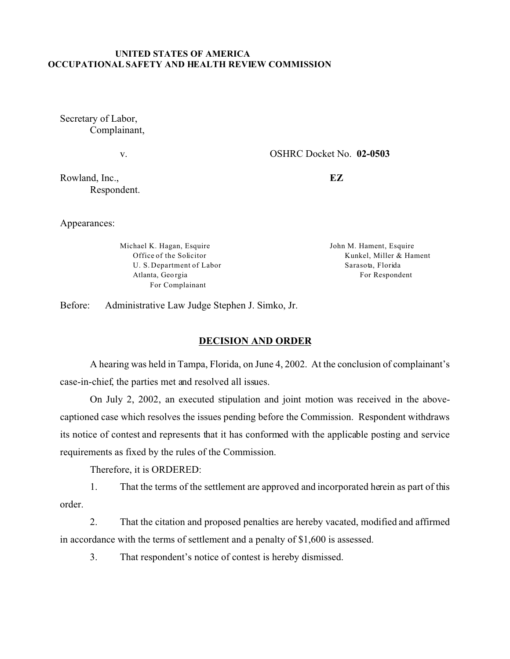## **UNITED STATES OF AMERICA OCCUPATIONAL SAFETY AND HEALTH REVIEW COMMISSION**

Secretary of Labor, Complainant,

v.

OSHRC Docket No. **02-0503** 

Rowland, Inc., Respondent. **EZ** 

Appearances:

Michael K. Hagan, Esquire Office of the Solicitor U. S. Department of Labor Atlanta, Geo rgia For Complainant

John M. Hament, Esquire Kunkel, Miller & Hament Sarasota, Florida For Respondent

Before: Administrative Law Judge Stephen J. Simko, Jr.

## **DECISION AND ORDER**

A hearing was held in Tampa, Florida, on June 4, 2002. At the conclusion of complainant's case-in-chief, the parties met and resolved all issues.

On July 2, 2002, an executed stipulation and joint motion was received in the abovecaptioned case which resolves the issues pending before the Commission. Respondent withdraws its notice of contest and represents that it has conformed with the applicable posting and service requirements as fixed by the rules of the Commission.

Therefore, it is ORDERED:

1. That the terms of the settlement are approved and incorporated herein as part of this order.

2. That the citation and proposed penalties are hereby vacated, modified and affirmed in accordance with the terms of settlement and a penalty of \$1,600 is assessed.

3. That respondent's notice of contest is hereby dismissed.